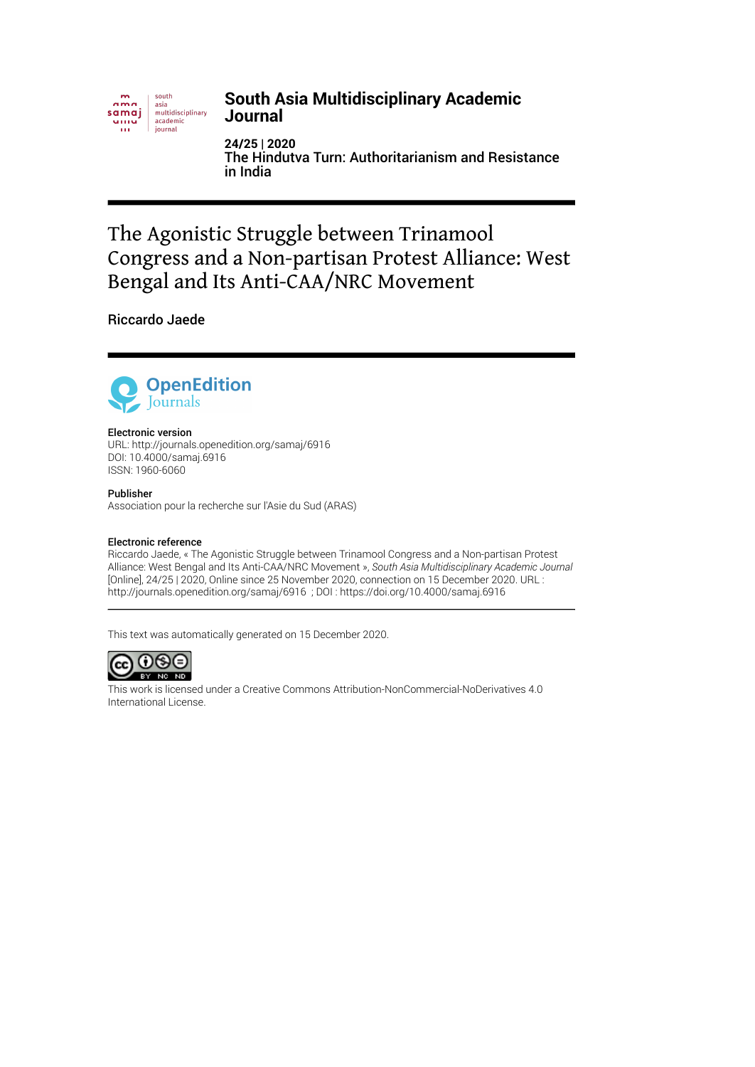

#### **South Asia Multidisciplinary Academic Journal**

**24/25 | 2020** The Hindutva Turn: Authoritarianism and Resistance in India

# The Agonistic Struggle between Trinamool Congress and a Non-partisan Protest Alliance: West Bengal and Its Anti-CAA/NRC Movement

Riccardo Jaede



#### Electronic version

URL:<http://journals.openedition.org/samaj/6916> DOI: 10.4000/samaj.6916 ISSN: 1960-6060

#### Publisher

Association pour la recherche sur l'Asie du Sud (ARAS)

#### Electronic reference

Riccardo Jaede, « The Agonistic Struggle between Trinamool Congress and a Non-partisan Protest Alliance: West Bengal and Its Anti-CAA/NRC Movement », *South Asia Multidisciplinary Academic Journal* [Online], 24/25 | 2020, Online since 25 November 2020, connection on 15 December 2020. URL : http://journals.openedition.org/samaj/6916 ; DOI : https://doi.org/10.4000/samaj.6916

This text was automatically generated on 15 December 2020.



This work is licensed under a [Creative Commons Attribution-NonCommercial-NoDerivatives 4.0](http://creativecommons.org/licenses/by-nc-nd/4.0/) [International License.](http://creativecommons.org/licenses/by-nc-nd/4.0/)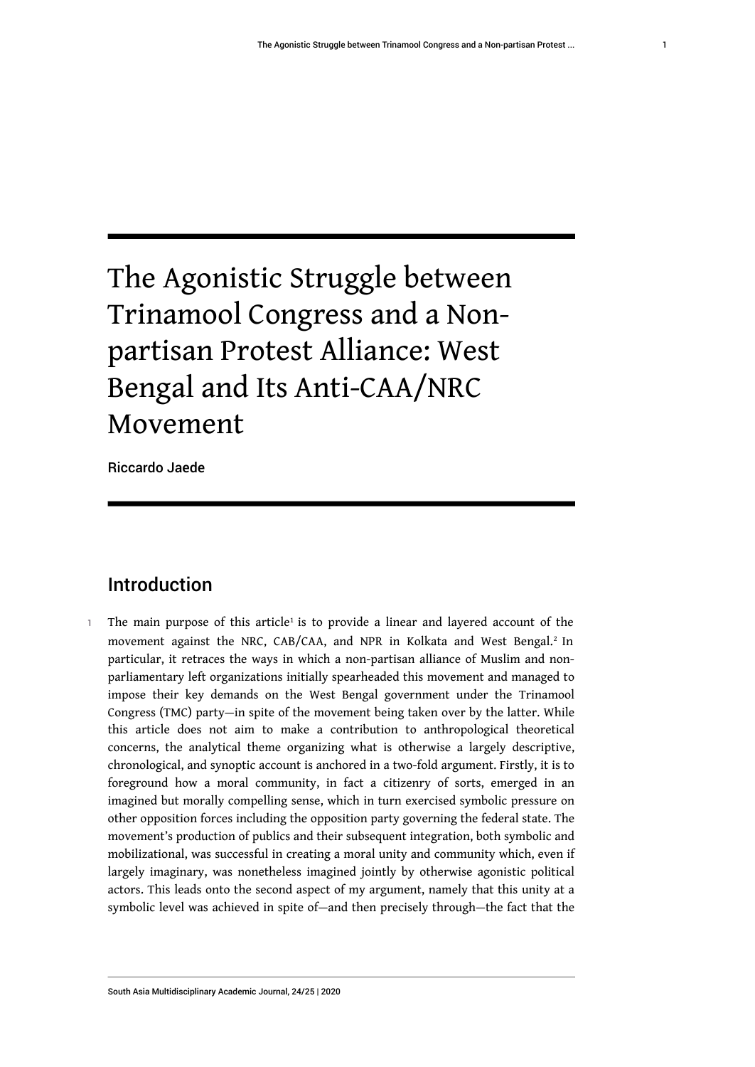# The Agonistic Struggle between Trinamool Congress and a Nonpartisan Protest Alliance: West Bengal and Its Anti-CAA/NRC Movement

Riccardo Jaede

# <span id="page-1-1"></span><span id="page-1-0"></span>Introduction

 $\,$  The main purpose of this article $^1$  $^1$  is to provide a linear and layered account of the movement against the NRC, CAB/CAA, and NPR in Kolkata and West Bengal.<sup>[2](#page-15-1)</sup> In particular, it retraces the ways in which a non-partisan alliance of Muslim and nonparliamentary left organizations initially spearheaded this movement and managed to impose their key demands on the West Bengal government under the Trinamool Congress (TMC) party—in spite of the movement being taken over by the latter. While this article does not aim to make a contribution to anthropological theoretical concerns, the analytical theme organizing what is otherwise a largely descriptive, chronological, and synoptic account is anchored in a two-fold argument. Firstly, it is to foreground how a moral community, in fact a citizenry of sorts, emerged in an imagined but morally compelling sense, which in turn exercised symbolic pressure on other opposition forces including the opposition party governing the federal state. The movement's production of publics and their subsequent integration, both symbolic and mobilizational, was successful in creating a moral unity and community which, even if largely imaginary, was nonetheless imagined jointly by otherwise agonistic political actors. This leads onto the second aspect of my argument, namely that this unity at a symbolic level was achieved in spite of—and then precisely through—the fact that the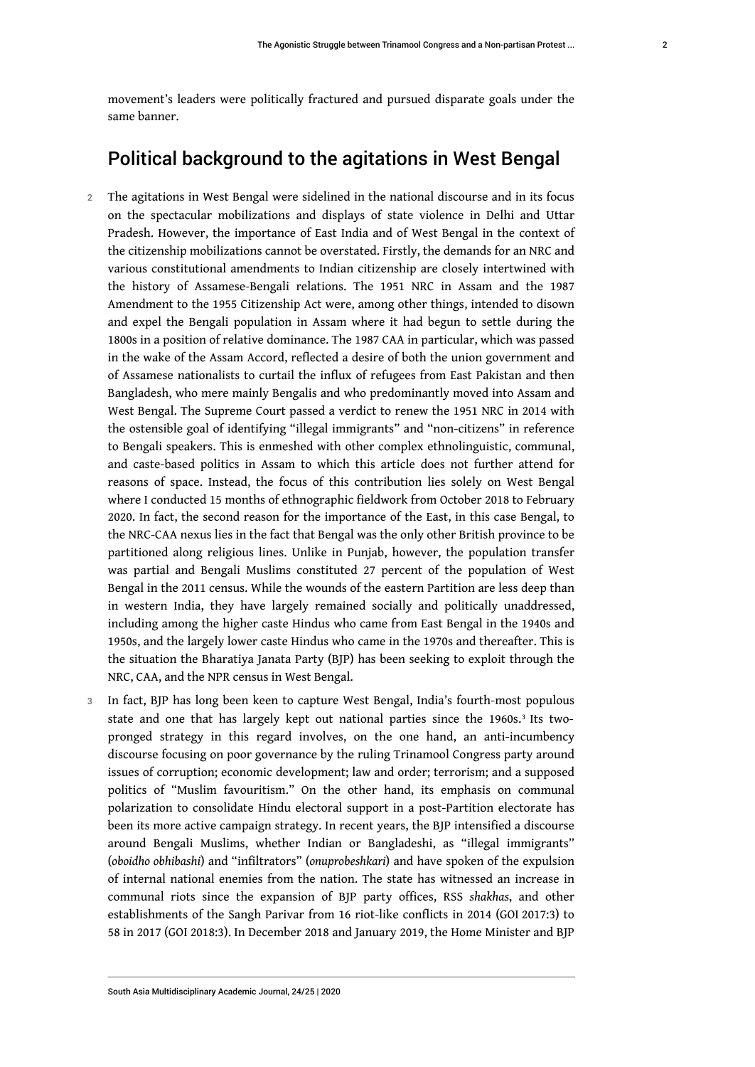movement's leaders were politically fractured and pursued disparate goals under the same banner.

## Political background to the agitations in West Bengal

- 2 The agitations in West Bengal were sidelined in the national discourse and in its focus on the spectacular mobilizations and displays of state violence in Delhi and Uttar Pradesh. However, the importance of East India and of West Bengal in the context of the citizenship mobilizations cannot be overstated. Firstly, the demands for an NRC and various constitutional amendments to Indian citizenship are closely intertwined with the history of Assamese-Bengali relations. The 1951 NRC in Assam and the 1987 Amendment to the 1955 Citizenship Act were, among other things, intended to disown and expel the Bengali population in Assam where it had begun to settle during the 1800s in a position of relative dominance. The 1987 CAA in particular, which was passed in the wake of the Assam Accord, reflected a desire of both the union government and of Assamese nationalists to curtail the influx of refugees from East Pakistan and then Bangladesh, who mere mainly Bengalis and who predominantly moved into Assam and West Bengal. The Supreme Court passed a verdict to renew the 1951 NRC in 2014 with the ostensible goal of identifying "illegal immigrants" and "non-citizens" in reference to Bengali speakers. This is enmeshed with other complex ethnolinguistic, communal, and caste-based politics in Assam to which this article does not further attend for reasons of space. Instead, the focus of this contribution lies solely on West Bengal where I conducted 15 months of ethnographic fieldwork from October 2018 to February 2020. In fact, the second reason for the importance of the East, in this case Bengal, to the NRC-CAA nexus lies in the fact that Bengal was the only other British province to be partitioned along religious lines. Unlike in Punjab, however, the population transfer was partial and Bengali Muslims constituted 27 percent of the population of West Bengal in the 2011 census. While the wounds of the eastern Partition are less deep than in western India, they have largely remained socially and politically unaddressed, including among the higher caste Hindus who came from East Bengal in the 1940s and 1950s, and the largely lower caste Hindus who came in the 1970s and thereafter. This is the situation the Bharatiya Janata Party (BJP) has been seeking to exploit through the NRC, CAA, and the NPR census in West Bengal.
- <span id="page-2-0"></span>3 In fact, BJP has long been keen to capture West Bengal, India's fourth-most populous state and one that has largely kept out national parties since the  $1960s.^3$  $1960s.^3$  Its twopronged strategy in this regard involves, on the one hand, an anti-incumbency discourse focusing on poor governance by the ruling Trinamool Congress party around issues of corruption; economic development; law and order; terrorism; and a supposed politics of "Muslim favouritism." On the other hand, its emphasis on communal polarization to consolidate Hindu electoral support in a post-Partition electorate has been its more active campaign strategy. In recent years, the BJP intensified a discourse around Bengali Muslims, whether Indian or Bangladeshi, as "illegal immigrants" (*oboidho obhibashi*) and "infiltrators" (*onuprobeshkari*) and have spoken of the expulsion of internal national enemies from the nation. The state has witnessed an increase in communal riots since the expansion of BJP party offices, RSS *shakhas*, and other establishments of the Sangh Parivar from 16 riot-like conflicts in 2014 (GOI 2017:3) to 58 in 2017 (GOI 2018:3). In December 2018 and January 2019, the Home Minister and BJP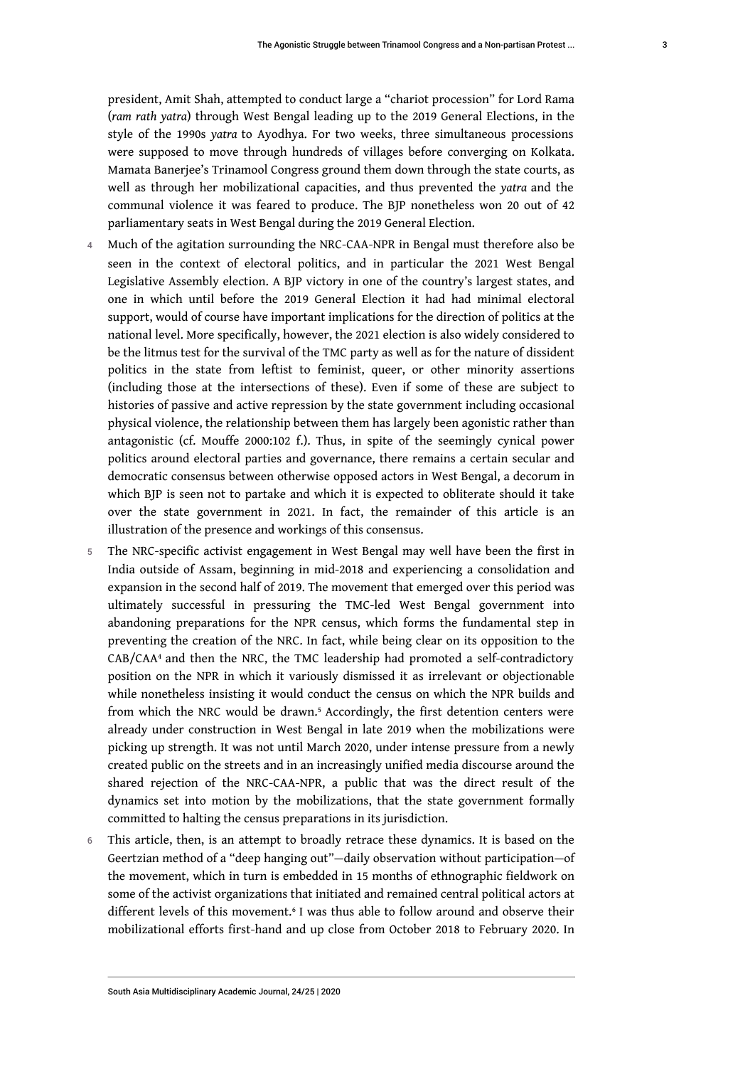3

president, Amit Shah, attempted to conduct large a "chariot procession" for Lord Rama (*ram rath yatra*) through West Bengal leading up to the 2019 General Elections, in the style of the 1990s *yatra* to Ayodhya. For two weeks, three simultaneous processions were supposed to move through hundreds of villages before converging on Kolkata. Mamata Banerjee's Trinamool Congress ground them down through the state courts, as well as through her mobilizational capacities, and thus prevented the *yatra* and the communal violence it was feared to produce. The BJP nonetheless won 20 out of 42 parliamentary seats in West Bengal during the 2019 General Election.

- 4 Much of the agitation surrounding the NRC-CAA-NPR in Bengal must therefore also be seen in the context of electoral politics, and in particular the 2021 West Bengal Legislative Assembly election. A BJP victory in one of the country's largest states, and one in which until before the 2019 General Election it had had minimal electoral support, would of course have important implications for the direction of politics at the national level. More specifically, however, the 2021 election is also widely considered to be the litmus test for the survival of the TMC party as well as for the nature of dissident politics in the state from leftist to feminist, queer, or other minority assertions (including those at the intersections of these). Even if some of these are subject to histories of passive and active repression by the state government including occasional physical violence, the relationship between them has largely been agonistic rather than antagonistic (cf. Mouffe 2000:102 f.). Thus, in spite of the seemingly cynical power politics around electoral parties and governance, there remains a certain secular and democratic consensus between otherwise opposed actors in West Bengal, a decorum in which BJP is seen not to partake and which it is expected to obliterate should it take over the state government in 2021. In fact, the remainder of this article is an illustration of the presence and workings of this consensus.
- <span id="page-3-0"></span>5 The NRC-specific activist engagement in West Bengal may well have been the first in India outside of Assam, beginning in mid-2018 and experiencing a consolidation and expansion in the second half of 2019. The movement that emerged over this period was ultimately successful in pressuring the TMC-led West Bengal government into abandoning preparations for the NPR census, which forms the fundamental step in preventing the creation of the NRC. In fact, while being clear on its opposition to the CAB/CAA[4](#page-16-0) and then the NRC, the TMC leadership had promoted a self-contradictory position on the NPR in which it variously dismissed it as irrelevant or objectionable while nonetheless insisting it would conduct the census on which the NPR builds and from which the NRC would be drawn.<sup>[5](#page-16-1)</sup> Accordingly, the first detention centers were already under construction in West Bengal in late 2019 when the mobilizations were picking up strength. It was not until March 2020, under intense pressure from a newly created public on the streets and in an increasingly unified media discourse around the shared rejection of the NRC-CAA-NPR, a public that was the direct result of the dynamics set into motion by the mobilizations, that the state government formally committed to halting the census preparations in its jurisdiction.
- <span id="page-3-2"></span><span id="page-3-1"></span>6 This article, then, is an attempt to broadly retrace these dynamics. It is based on the Geertzian method of a "deep hanging out"—daily observation without participation—of the movement, which in turn is embedded in 15 months of ethnographic fieldwork on some of the activist organizations that initiated and remained central political actors at different levels of this movement.[6](#page-16-2) I was thus able to follow around and observe their mobilizational efforts first-hand and up close from October 2018 to February 2020. In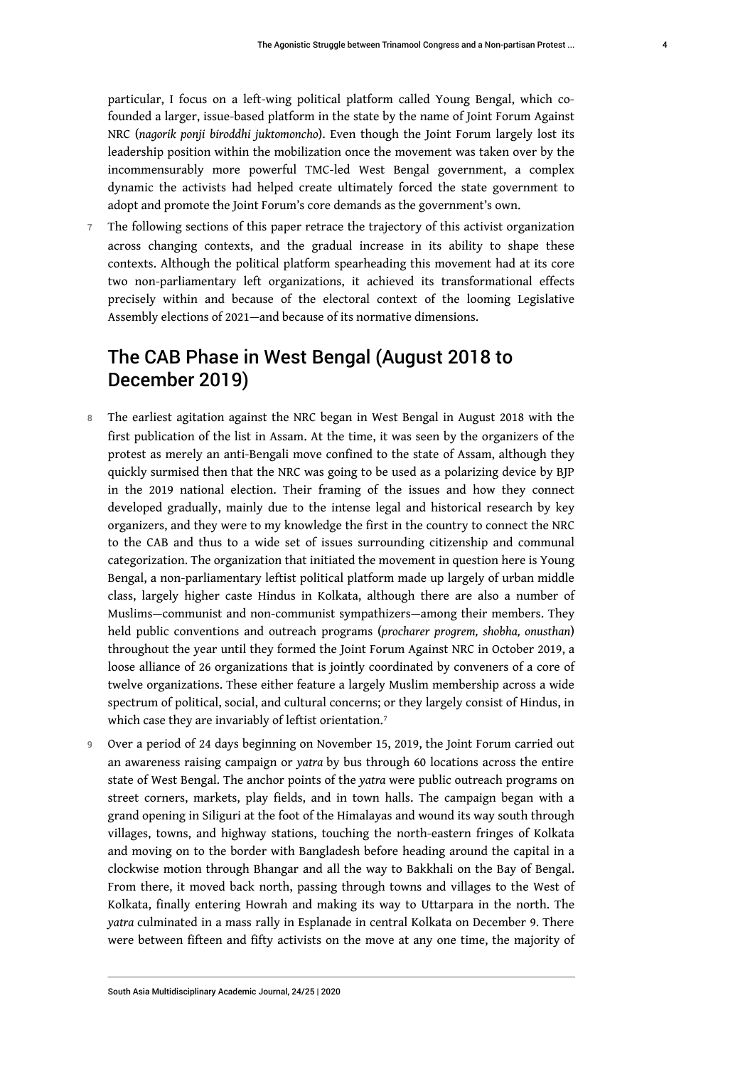particular, I focus on a left-wing political platform called Young Bengal, which cofounded a larger, issue-based platform in the state by the name of Joint Forum Against NRC (*nagorik ponji biroddhi juktomoncho*). Even though the Joint Forum largely lost its leadership position within the mobilization once the movement was taken over by the incommensurably more powerful TMC-led West Bengal government, a complex dynamic the activists had helped create ultimately forced the state government to adopt and promote the Joint Forum's core demands as the government's own.

7 The following sections of this paper retrace the trajectory of this activist organization across changing contexts, and the gradual increase in its ability to shape these contexts. Although the political platform spearheading this movement had at its core two non-parliamentary left organizations, it achieved its transformational effects precisely within and because of the electoral context of the looming Legislative Assembly elections of 2021—and because of its normative dimensions.

# The CAB Phase in West Bengal (August 2018 to December 2019)

- 8 The earliest agitation against the NRC began in West Bengal in August 2018 with the first publication of the list in Assam. At the time, it was seen by the organizers of the protest as merely an anti-Bengali move confined to the state of Assam, although they quickly surmised then that the NRC was going to be used as a polarizing device by BJP in the 2019 national election. Their framing of the issues and how they connect developed gradually, mainly due to the intense legal and historical research by key organizers, and they were to my knowledge the first in the country to connect the NRC to the CAB and thus to a wide set of issues surrounding citizenship and communal categorization. The organization that initiated the movement in question here is Young Bengal, a non-parliamentary leftist political platform made up largely of urban middle class, largely higher caste Hindus in Kolkata, although there are also a number of Muslims—communist and non-communist sympathizers—among their members. They held public conventions and outreach programs (*procharer progrem, shobha, onusthan*) throughout the year until they formed the Joint Forum Against NRC in October 2019, a loose alliance of 26 organizations that is jointly coordinated by conveners of a core of twelve organizations. These either feature a largely Muslim membership across a wide spectrum of political, social, and cultural concerns; or they largely consist of Hindus, in which case they are invariably of leftist orientation.<sup>[7](#page-16-3)</sup>
- <span id="page-4-0"></span>9 Over a period of 24 days beginning on November 15, 2019, the Joint Forum carried out an awareness raising campaign or *yatra* by bus through 60 locations across the entire state of West Bengal. The anchor points of the *yatra* were public outreach programs on street corners, markets, play fields, and in town halls. The campaign began with a grand opening in Siliguri at the foot of the Himalayas and wound its way south through villages, towns, and highway stations, touching the north-eastern fringes of Kolkata and moving on to the border with Bangladesh before heading around the capital in a clockwise motion through Bhangar and all the way to Bakkhali on the Bay of Bengal. From there, it moved back north, passing through towns and villages to the West of Kolkata, finally entering Howrah and making its way to Uttarpara in the north. The *yatra* culminated in a mass rally in Esplanade in central Kolkata on December 9. There were between fifteen and fifty activists on the move at any one time, the majority of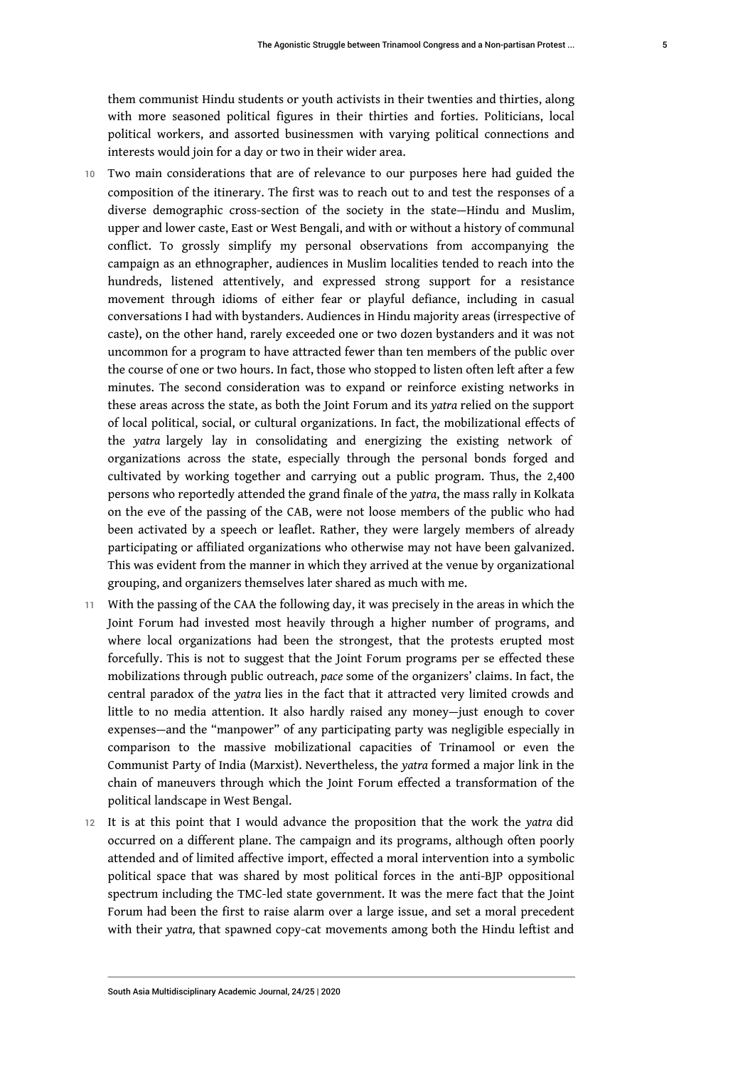them communist Hindu students or youth activists in their twenties and thirties, along with more seasoned political figures in their thirties and forties. Politicians, local political workers, and assorted businessmen with varying political connections and interests would join for a day or two in their wider area.

- 10 Two main considerations that are of relevance to our purposes here had guided the composition of the itinerary. The first was to reach out to and test the responses of a diverse demographic cross-section of the society in the state—Hindu and Muslim, upper and lower caste, East or West Bengali, and with or without a history of communal conflict. To grossly simplify my personal observations from accompanying the campaign as an ethnographer, audiences in Muslim localities tended to reach into the hundreds, listened attentively, and expressed strong support for a resistance movement through idioms of either fear or playful defiance, including in casual conversations I had with bystanders. Audiences in Hindu majority areas (irrespective of caste), on the other hand, rarely exceeded one or two dozen bystanders and it was not uncommon for a program to have attracted fewer than ten members of the public over the course of one or two hours. In fact, those who stopped to listen often left after a few minutes. The second consideration was to expand or reinforce existing networks in these areas across the state, as both the Joint Forum and its *yatra* relied on the support of local political, social, or cultural organizations. In fact, the mobilizational effects of the *yatra* largely lay in consolidating and energizing the existing network of organizations across the state, especially through the personal bonds forged and cultivated by working together and carrying out a public program. Thus, the 2,400 persons who reportedly attended the grand finale of the *yatra*, the mass rally in Kolkata on the eve of the passing of the CAB, were not loose members of the public who had been activated by a speech or leaflet. Rather, they were largely members of already participating or affiliated organizations who otherwise may not have been galvanized. This was evident from the manner in which they arrived at the venue by organizational grouping, and organizers themselves later shared as much with me.
- 11 With the passing of the CAA the following day, it was precisely in the areas in which the Joint Forum had invested most heavily through a higher number of programs, and where local organizations had been the strongest, that the protests erupted most forcefully. This is not to suggest that the Joint Forum programs per se effected these mobilizations through public outreach, *pace* some of the organizers' claims. In fact, the central paradox of the *yatra* lies in the fact that it attracted very limited crowds and little to no media attention. It also hardly raised any money—just enough to cover expenses—and the "manpower" of any participating party was negligible especially in comparison to the massive mobilizational capacities of Trinamool or even the Communist Party of India (Marxist). Nevertheless, the *yatra* formed a major link in the chain of maneuvers through which the Joint Forum effected a transformation of the political landscape in West Bengal.
- <sup>12</sup>It is at this point that I would advance the proposition that the work the *yatra* did occurred on a different plane. The campaign and its programs, although often poorly attended and of limited affective import, effected a moral intervention into a symbolic political space that was shared by most political forces in the anti-BJP oppositional spectrum including the TMC-led state government. It was the mere fact that the Joint Forum had been the first to raise alarm over a large issue, and set a moral precedent with their *yatra,* that spawned copy-cat movements among both the Hindu leftist and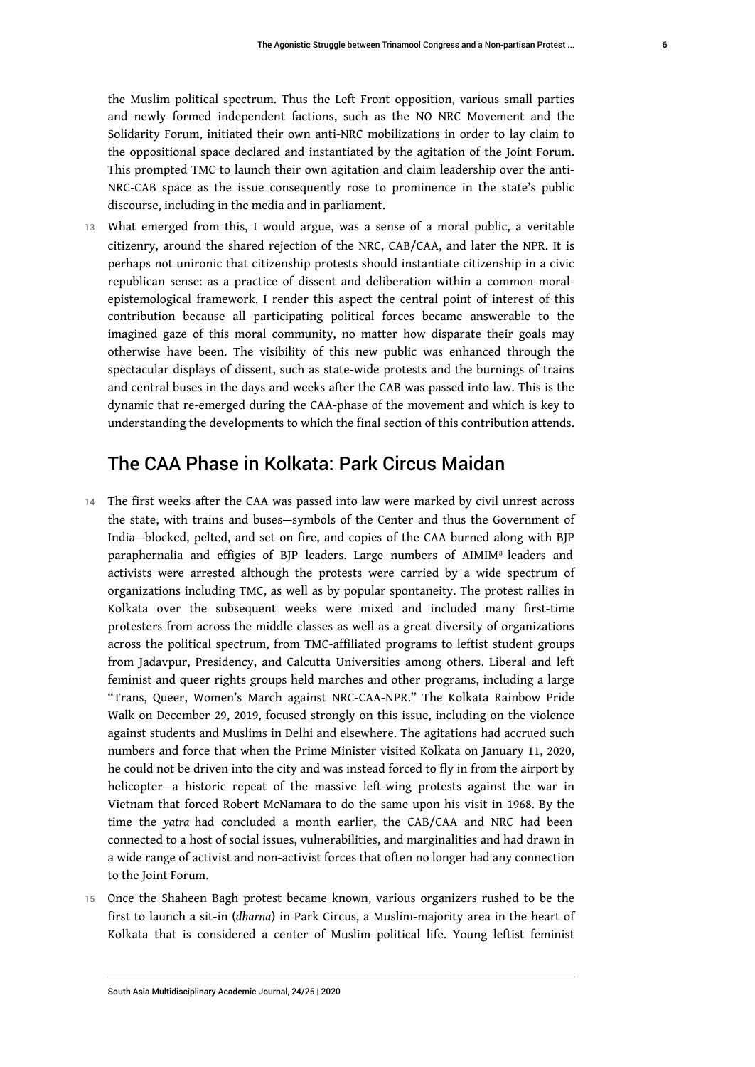the Muslim political spectrum. Thus the Left Front opposition, various small parties and newly formed independent factions, such as the NO NRC Movement and the Solidarity Forum, initiated their own anti-NRC mobilizations in order to lay claim to the oppositional space declared and instantiated by the agitation of the Joint Forum. This prompted TMC to launch their own agitation and claim leadership over the anti-NRC-CAB space as the issue consequently rose to prominence in the state's public discourse, including in the media and in parliament.

13 What emerged from this, I would argue, was a sense of a moral public, a veritable citizenry, around the shared rejection of the NRC, CAB/CAA, and later the NPR. It is perhaps not unironic that citizenship protests should instantiate citizenship in a civic republican sense: as a practice of dissent and deliberation within a common moralepistemological framework. I render this aspect the central point of interest of this contribution because all participating political forces became answerable to the imagined gaze of this moral community, no matter how disparate their goals may otherwise have been. The visibility of this new public was enhanced through the spectacular displays of dissent, such as state-wide protests and the burnings of trains and central buses in the days and weeks after the CAB was passed into law. This is the dynamic that re-emerged during the CAA-phase of the movement and which is key to understanding the developments to which the final section of this contribution attends.

# <span id="page-6-0"></span>The CAA Phase in Kolkata: Park Circus Maidan

- 14 The first weeks after the CAA was passed into law were marked by civil unrest across the state, with trains and buses—symbols of the Center and thus the Government of India—blocked, pelted, and set on fire, and copies of the CAA burned along with BJP paraphernalia and effigies of BJP leaders. Large numbers of AIMIM<sup>[8](#page-16-4)</sup> leaders and activists were arrested although the protests were carried by a wide spectrum of organizations including TMC, as well as by popular spontaneity. The protest rallies in Kolkata over the subsequent weeks were mixed and included many first-time protesters from across the middle classes as well as a great diversity of organizations across the political spectrum, from TMC-affiliated programs to leftist student groups from Jadavpur, Presidency, and Calcutta Universities among others. Liberal and left feminist and queer rights groups held marches and other programs, including a large "Trans, Queer, Women's March against NRC-CAA-NPR." The Kolkata Rainbow Pride Walk on December 29, 2019, focused strongly on this issue, including on the violence against students and Muslims in Delhi and elsewhere. The agitations had accrued such numbers and force that when the Prime Minister visited Kolkata on January 11, 2020, he could not be driven into the city and was instead forced to fly in from the airport by helicopter—a historic repeat of the massive left-wing protests against the war in Vietnam that forced Robert McNamara to do the same upon his visit in 1968. By the time the *yatra* had concluded a month earlier, the CAB/CAA and NRC had been connected to a host of social issues, vulnerabilities, and marginalities and had drawn in a wide range of activist and non-activist forces that often no longer had any connection to the Joint Forum.
- 15 Once the Shaheen Bagh protest became known, various organizers rushed to be the first to launch a sit-in (*dharna*) in Park Circus, a Muslim-majority area in the heart of Kolkata that is considered a center of Muslim political life. Young leftist feminist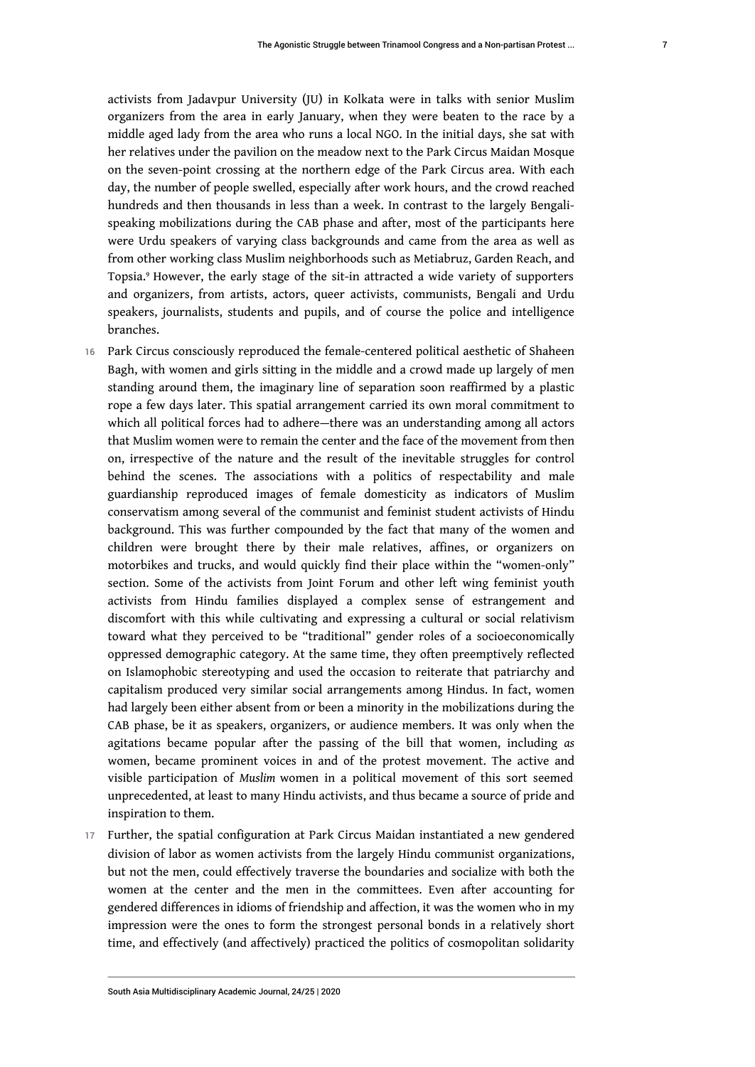activists from Jadavpur University (JU) in Kolkata were in talks with senior Muslim organizers from the area in early January, when they were beaten to the race by a middle aged lady from the area who runs a local NGO. In the initial days, she sat with her relatives under the pavilion on the meadow next to the Park Circus Maidan Mosque on the seven-point crossing at the northern edge of the Park Circus area. With each day, the number of people swelled, especially after work hours, and the crowd reached hundreds and then thousands in less than a week. In contrast to the largely Bengalispeaking mobilizations during the CAB phase and after, most of the participants here were Urdu speakers of varying class backgrounds and came from the area as well as from other working class Muslim neighborhoods such as Metiabruz, Garden Reach, and Topsia.[9](#page-16-5) However, the early stage of the sit-in attracted a wide variety of supporters and organizers, from artists, actors, queer activists, communists, Bengali and Urdu speakers, journalists, students and pupils, and of course the police and intelligence branches.

- <span id="page-7-0"></span>16 Park Circus consciously reproduced the female-centered political aesthetic of Shaheen Bagh, with women and girls sitting in the middle and a crowd made up largely of men standing around them, the imaginary line of separation soon reaffirmed by a plastic rope a few days later. This spatial arrangement carried its own moral commitment to which all political forces had to adhere—there was an understanding among all actors that Muslim women were to remain the center and the face of the movement from then on, irrespective of the nature and the result of the inevitable struggles for control behind the scenes. The associations with a politics of respectability and male guardianship reproduced images of female domesticity as indicators of Muslim conservatism among several of the communist and feminist student activists of Hindu background. This was further compounded by the fact that many of the women and children were brought there by their male relatives, affines, or organizers on motorbikes and trucks, and would quickly find their place within the "women-only" section. Some of the activists from Joint Forum and other left wing feminist youth activists from Hindu families displayed a complex sense of estrangement and discomfort with this while cultivating and expressing a cultural or social relativism toward what they perceived to be "traditional" gender roles of a socioeconomically oppressed demographic category. At the same time, they often preemptively reflected on Islamophobic stereotyping and used the occasion to reiterate that patriarchy and capitalism produced very similar social arrangements among Hindus. In fact, women had largely been either absent from or been a minority in the mobilizations during the CAB phase, be it as speakers, organizers, or audience members. It was only when the agitations became popular after the passing of the bill that women, including *as*  women, became prominent voices in and of the protest movement. The active and visible participation of *Muslim* women in a political movement of this sort seemed unprecedented, at least to many Hindu activists, and thus became a source of pride and inspiration to them.
- 17 Further, the spatial configuration at Park Circus Maidan instantiated a new gendered division of labor as women activists from the largely Hindu communist organizations, but not the men, could effectively traverse the boundaries and socialize with both the women at the center and the men in the committees. Even after accounting for gendered differences in idioms of friendship and affection, it was the women who in my impression were the ones to form the strongest personal bonds in a relatively short time, and effectively (and affectively) practiced the politics of cosmopolitan solidarity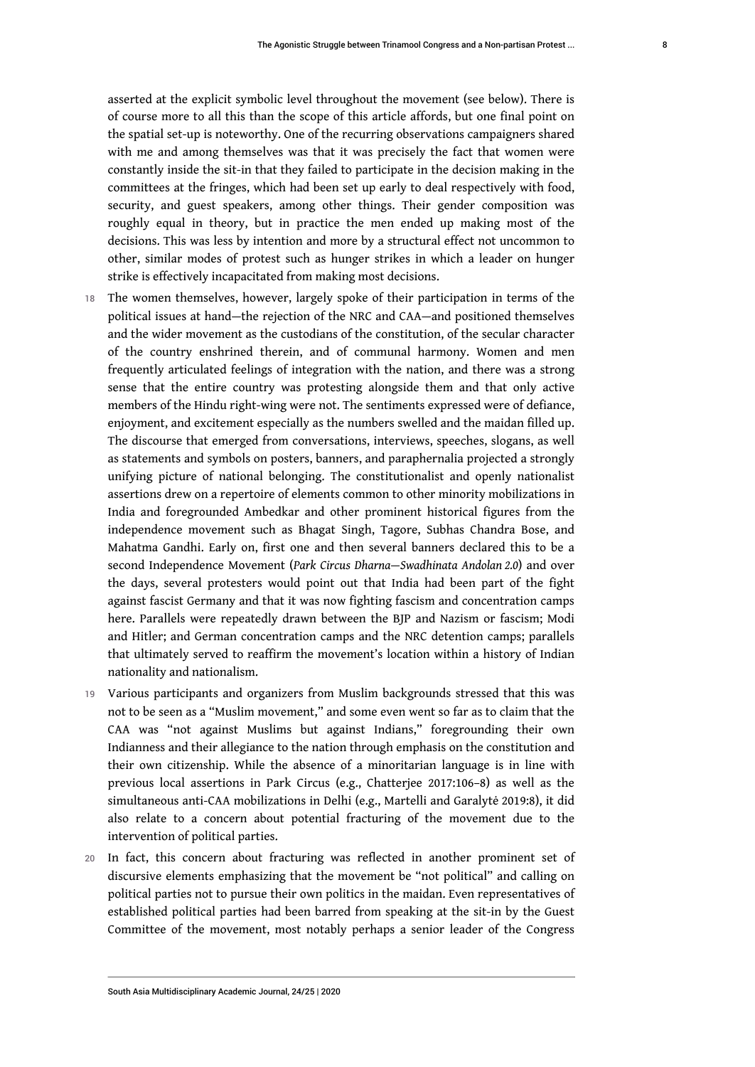asserted at the explicit symbolic level throughout the movement (see below). There is of course more to all this than the scope of this article affords, but one final point on the spatial set-up is noteworthy. One of the recurring observations campaigners shared with me and among themselves was that it was precisely the fact that women were constantly inside the sit-in that they failed to participate in the decision making in the committees at the fringes, which had been set up early to deal respectively with food, security, and guest speakers, among other things. Their gender composition was roughly equal in theory, but in practice the men ended up making most of the decisions. This was less by intention and more by a structural effect not uncommon to other, similar modes of protest such as hunger strikes in which a leader on hunger

strike is effectively incapacitated from making most decisions.

- 18 The women themselves, however, largely spoke of their participation in terms of the political issues at hand—the rejection of the NRC and CAA—and positioned themselves and the wider movement as the custodians of the constitution, of the secular character of the country enshrined therein, and of communal harmony. Women and men frequently articulated feelings of integration with the nation, and there was a strong sense that the entire country was protesting alongside them and that only active members of the Hindu right-wing were not. The sentiments expressed were of defiance, enjoyment, and excitement especially as the numbers swelled and the maidan filled up. The discourse that emerged from conversations, interviews, speeches, slogans, as well as statements and symbols on posters, banners, and paraphernalia projected a strongly unifying picture of national belonging. The constitutionalist and openly nationalist assertions drew on a repertoire of elements common to other minority mobilizations in India and foregrounded Ambedkar and other prominent historical figures from the independence movement such as Bhagat Singh, Tagore, Subhas Chandra Bose, and Mahatma Gandhi. Early on, first one and then several banners declared this to be a second Independence Movement (*Park Circus Dharna—Swadhinata Andolan 2.0*) and over the days, several protesters would point out that India had been part of the fight against fascist Germany and that it was now fighting fascism and concentration camps here. Parallels were repeatedly drawn between the BJP and Nazism or fascism; Modi and Hitler; and German concentration camps and the NRC detention camps; parallels that ultimately served to reaffirm the movement's location within a history of Indian nationality and nationalism.
- 19 Various participants and organizers from Muslim backgrounds stressed that this was not to be seen as a "Muslim movement," and some even went so far as to claim that the CAA was "not against Muslims but against Indians," foregrounding their own Indianness and their allegiance to the nation through emphasis on the constitution and their own citizenship. While the absence of a minoritarian language is in line with previous local assertions in Park Circus (e.g., Chatterjee 2017:106–8) as well as the simultaneous anti-CAA mobilizations in Delhi (e.g., Martelli and Garalytė 2019:8), it did also relate to a concern about potential fracturing of the movement due to the intervention of political parties.
- 20 In fact, this concern about fracturing was reflected in another prominent set of discursive elements emphasizing that the movement be "not political" and calling on political parties not to pursue their own politics in the maidan. Even representatives of established political parties had been barred from speaking at the sit-in by the Guest Committee of the movement, most notably perhaps a senior leader of the Congress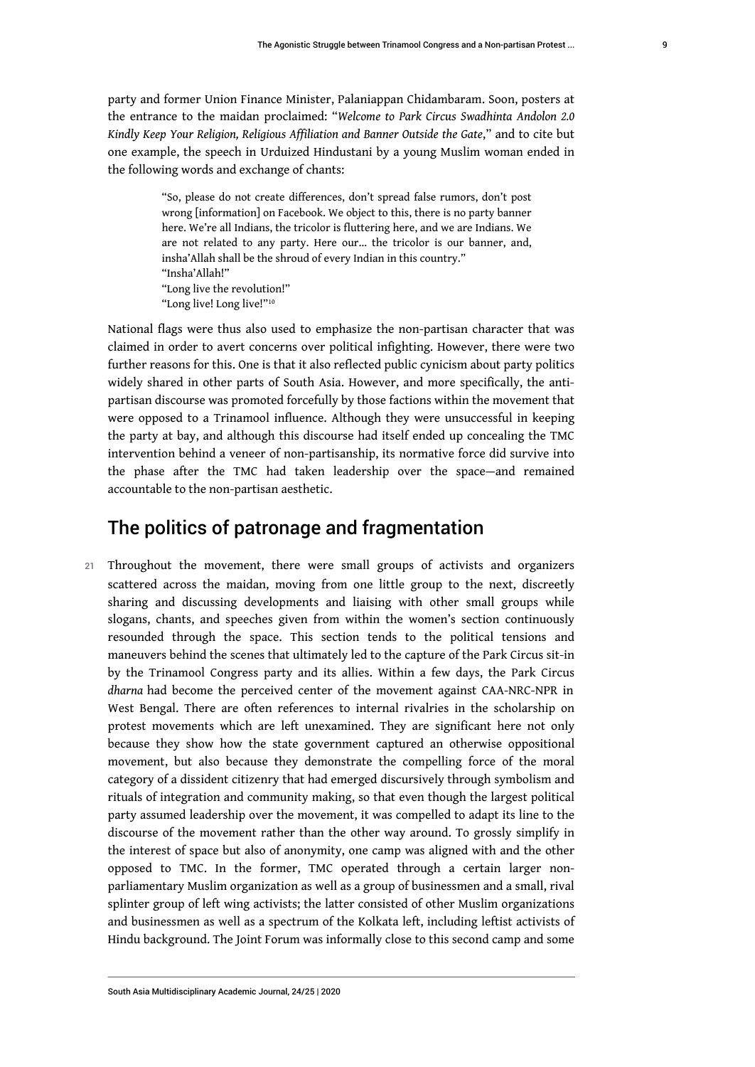party and former Union Finance Minister, Palaniappan Chidambaram. Soon, posters at the entrance to the maidan proclaimed: "*Welcome to Park Circus Swadhinta Andolon 2.0 Kindly Keep Your Religion, Religious Affiliation and Banner Outside the Gate*," and to cite but one example, the speech in Urduized Hindustani by a young Muslim woman ended in the following words and exchange of chants:

> <span id="page-9-0"></span>"So, please do not create differences, don't spread false rumors, don't post wrong [information] on Facebook. We object to this, there is no party banner here. We're all Indians, the tricolor is fluttering here, and we are Indians. We are not related to any party. Here our… the tricolor is our banner, and, insha'Allah shall be the shroud of every Indian in this country." "Insha'Allah!" "Long live the revolution!" "Long live! Long live!"<sup>[10](#page-16-6)</sup>

National flags were thus also used to emphasize the non-partisan character that was claimed in order to avert concerns over political infighting. However, there were two further reasons for this. One is that it also reflected public cynicism about party politics widely shared in other parts of South Asia. However, and more specifically, the antipartisan discourse was promoted forcefully by those factions within the movement that were opposed to a Trinamool influence. Although they were unsuccessful in keeping the party at bay, and although this discourse had itself ended up concealing the TMC intervention behind a veneer of non-partisanship, its normative force did survive into the phase after the TMC had taken leadership over the space—and remained accountable to the non-partisan aesthetic.

# The politics of patronage and fragmentation

21 Throughout the movement, there were small groups of activists and organizers scattered across the maidan, moving from one little group to the next, discreetly sharing and discussing developments and liaising with other small groups while slogans, chants, and speeches given from within the women's section continuously resounded through the space. This section tends to the political tensions and maneuvers behind the scenes that ultimately led to the capture of the Park Circus sit-in by the Trinamool Congress party and its allies. Within a few days, the Park Circus *dharna* had become the perceived center of the movement against CAA-NRC-NPR in West Bengal. There are often references to internal rivalries in the scholarship on protest movements which are left unexamined. They are significant here not only because they show how the state government captured an otherwise oppositional movement, but also because they demonstrate the compelling force of the moral category of a dissident citizenry that had emerged discursively through symbolism and rituals of integration and community making, so that even though the largest political party assumed leadership over the movement, it was compelled to adapt its line to the discourse of the movement rather than the other way around. To grossly simplify in the interest of space but also of anonymity, one camp was aligned with and the other opposed to TMC. In the former, TMC operated through a certain larger nonparliamentary Muslim organization as well as a group of businessmen and a small, rival splinter group of left wing activists; the latter consisted of other Muslim organizations and businessmen as well as a spectrum of the Kolkata left, including leftist activists of Hindu background. The Joint Forum was informally close to this second camp and some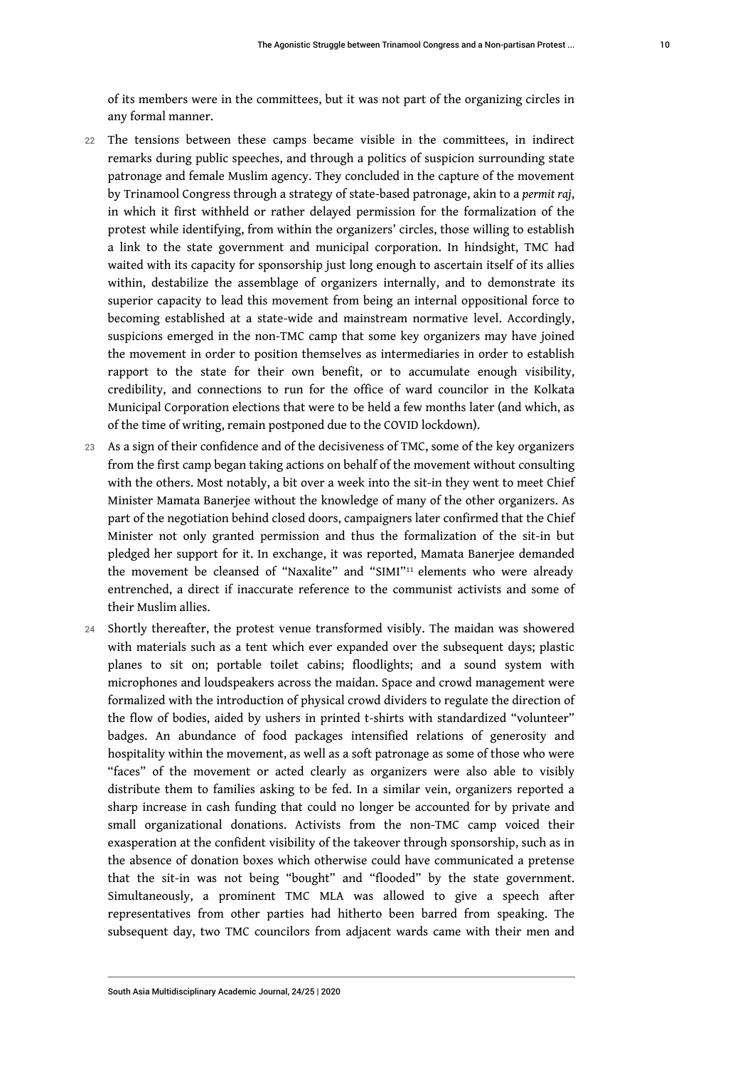of its members were in the committees, but it was not part of the organizing circles in any formal manner.

- 22 The tensions between these camps became visible in the committees, in indirect remarks during public speeches, and through a politics of suspicion surrounding state patronage and female Muslim agency. They concluded in the capture of the movement by Trinamool Congress through a strategy of state-based patronage, akin to a *permit raj*, in which it first withheld or rather delayed permission for the formalization of the protest while identifying, from within the organizers' circles, those willing to establish a link to the state government and municipal corporation. In hindsight, TMC had waited with its capacity for sponsorship just long enough to ascertain itself of its allies within, destabilize the assemblage of organizers internally, and to demonstrate its superior capacity to lead this movement from being an internal oppositional force to becoming established at a state-wide and mainstream normative level. Accordingly, suspicions emerged in the non-TMC camp that some key organizers may have joined the movement in order to position themselves as intermediaries in order to establish rapport to the state for their own benefit, or to accumulate enough visibility, credibility, and connections to run for the office of ward councilor in the Kolkata Municipal Corporation elections that were to be held a few months later (and which, as of the time of writing, remain postponed due to the COVID lockdown).
- 23 As a sign of their confidence and of the decisiveness of TMC, some of the key organizers from the first camp began taking actions on behalf of the movement without consulting with the others. Most notably, a bit over a week into the sit-in they went to meet Chief Minister Mamata Banerjee without the knowledge of many of the other organizers. As part of the negotiation behind closed doors, campaigners later confirmed that the Chief Minister not only granted permission and thus the formalization of the sit-in but pledged her support for it. In exchange, it was reported, Mamata Banerjee demanded the movement be cleansed of "Naxalite" and "SIMI"<sup>[11](#page-17-0)</sup> elements who were already entrenched, a direct if inaccurate reference to the communist activists and some of their Muslim allies.
- <span id="page-10-0"></span>24 Shortly thereafter, the protest venue transformed visibly. The maidan was showered with materials such as a tent which ever expanded over the subsequent days; plastic planes to sit on; portable toilet cabins; floodlights; and a sound system with microphones and loudspeakers across the maidan. Space and crowd management were formalized with the introduction of physical crowd dividers to regulate the direction of the flow of bodies, aided by ushers in printed t-shirts with standardized "volunteer" badges. An abundance of food packages intensified relations of generosity and hospitality within the movement, as well as a soft patronage as some of those who were "faces" of the movement or acted clearly as organizers were also able to visibly distribute them to families asking to be fed. In a similar vein, organizers reported a sharp increase in cash funding that could no longer be accounted for by private and small organizational donations. Activists from the non-TMC camp voiced their exasperation at the confident visibility of the takeover through sponsorship, such as in the absence of donation boxes which otherwise could have communicated a pretense that the sit-in was not being "bought" and "flooded" by the state government. Simultaneously, a prominent TMC MLA was allowed to give a speech after representatives from other parties had hitherto been barred from speaking. The subsequent day, two TMC councilors from adjacent wards came with their men and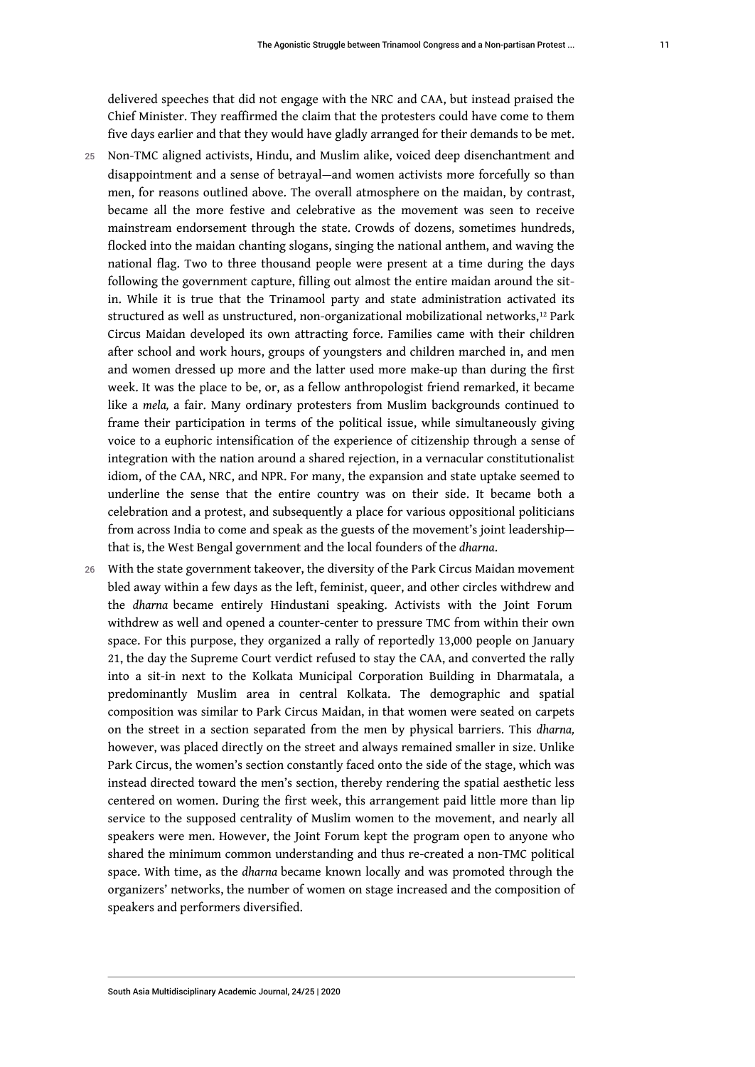delivered speeches that did not engage with the NRC and CAA, but instead praised the Chief Minister. They reaffirmed the claim that the protesters could have come to them five days earlier and that they would have gladly arranged for their demands to be met.

- 25 Non-TMC aligned activists, Hindu, and Muslim alike, voiced deep disenchantment and disappointment and a sense of betrayal—and women activists more forcefully so than men, for reasons outlined above. The overall atmosphere on the maidan, by contrast, became all the more festive and celebrative as the movement was seen to receive mainstream endorsement through the state. Crowds of dozens, sometimes hundreds, flocked into the maidan chanting slogans, singing the national anthem, and waving the national flag. Two to three thousand people were present at a time during the days following the government capture, filling out almost the entire maidan around the sitin. While it is true that the Trinamool party and state administration activated its structured as well as unstructured, non-organizational mobilizational networks,[12](#page-17-1) Park Circus Maidan developed its own attracting force. Families came with their children after school and work hours, groups of youngsters and children marched in, and men and women dressed up more and the latter used more make-up than during the first week. It was the place to be, or, as a fellow anthropologist friend remarked, it became like a *mela,* a fair. Many ordinary protesters from Muslim backgrounds continued to frame their participation in terms of the political issue, while simultaneously giving voice to a euphoric intensification of the experience of citizenship through a sense of integration with the nation around a shared rejection, in a vernacular constitutionalist idiom, of the CAA, NRC, and NPR. For many, the expansion and state uptake seemed to underline the sense that the entire country was on their side. It became both a celebration and a protest, and subsequently a place for various oppositional politicians from across India to come and speak as the guests of the movement's joint leadership that is, the West Bengal government and the local founders of the *dharna*.
- 26 With the state government takeover, the diversity of the Park Circus Maidan movement bled away within a few days as the left, feminist, queer, and other circles withdrew and the *dharna* became entirely Hindustani speaking. Activists with the Joint Forum withdrew as well and opened a counter-center to pressure TMC from within their own space. For this purpose, they organized a rally of reportedly 13,000 people on January 21, the day the Supreme Court verdict refused to stay the CAA, and converted the rally into a sit-in next to the Kolkata Municipal Corporation Building in Dharmatala, a predominantly Muslim area in central Kolkata. The demographic and spatial composition was similar to Park Circus Maidan, in that women were seated on carpets on the street in a section separated from the men by physical barriers. This *dharna,*  however, was placed directly on the street and always remained smaller in size. Unlike Park Circus, the women's section constantly faced onto the side of the stage, which was instead directed toward the men's section, thereby rendering the spatial aesthetic less centered on women. During the first week, this arrangement paid little more than lip service to the supposed centrality of Muslim women to the movement, and nearly all speakers were men. However, the Joint Forum kept the program open to anyone who shared the minimum common understanding and thus re-created a non-TMC political space. With time, as the *dharna* became known locally and was promoted through the organizers' networks, the number of women on stage increased and the composition of speakers and performers diversified.

<span id="page-11-0"></span>11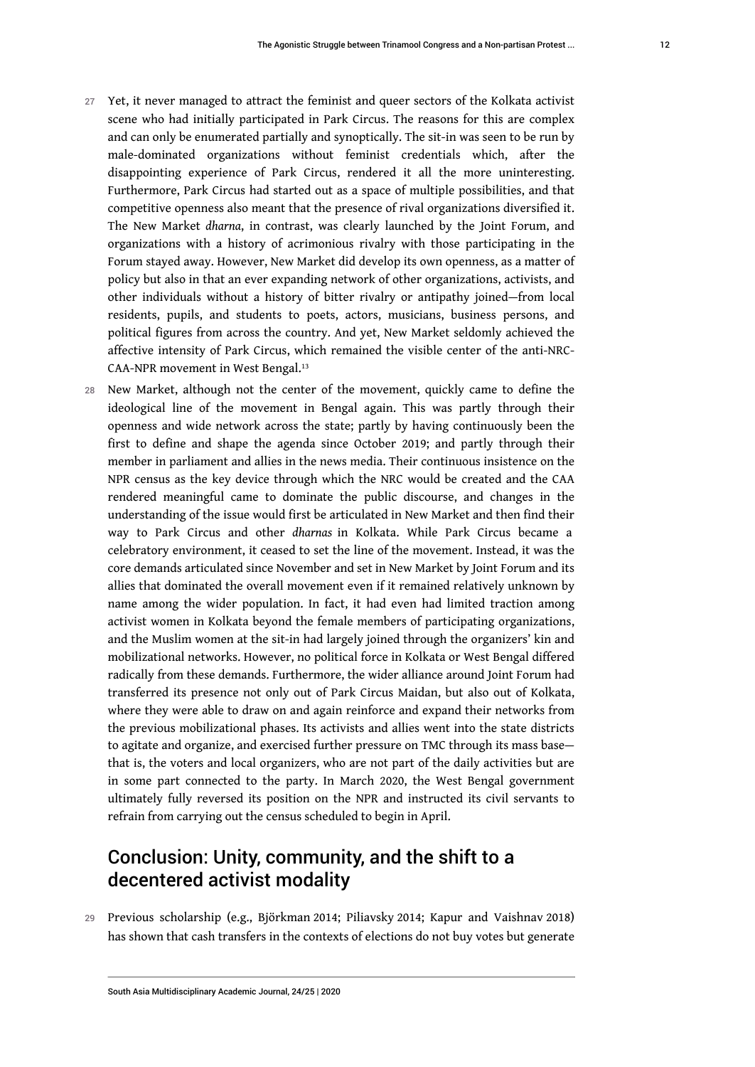- 27 Yet, it never managed to attract the feminist and queer sectors of the Kolkata activist scene who had initially participated in Park Circus. The reasons for this are complex and can only be enumerated partially and synoptically. The sit-in was seen to be run by male-dominated organizations without feminist credentials which, after the disappointing experience of Park Circus, rendered it all the more uninteresting. Furthermore, Park Circus had started out as a space of multiple possibilities, and that competitive openness also meant that the presence of rival organizations diversified it. The New Market *dharna*, in contrast, was clearly launched by the Joint Forum, and organizations with a history of acrimonious rivalry with those participating in the Forum stayed away. However, New Market did develop its own openness, as a matter of policy but also in that an ever expanding network of other organizations, activists, and other individuals without a history of bitter rivalry or antipathy joined—from local residents, pupils, and students to poets, actors, musicians, business persons, and political figures from across the country. And yet, New Market seldomly achieved the affective intensity of Park Circus, which remained the visible center of the anti-NRC-CAA-NPR movement in West Bengal.<sup>[13](#page-17-2)</sup>
- <span id="page-12-0"></span>28 New Market, although not the center of the movement, quickly came to define the ideological line of the movement in Bengal again. This was partly through their openness and wide network across the state; partly by having continuously been the first to define and shape the agenda since October 2019; and partly through their member in parliament and allies in the news media. Their continuous insistence on the NPR census as the key device through which the NRC would be created and the CAA rendered meaningful came to dominate the public discourse, and changes in the understanding of the issue would first be articulated in New Market and then find their way to Park Circus and other *dharnas* in Kolkata. While Park Circus became a celebratory environment, it ceased to set the line of the movement. Instead, it was the core demands articulated since November and set in New Market by Joint Forum and its allies that dominated the overall movement even if it remained relatively unknown by name among the wider population. In fact, it had even had limited traction among activist women in Kolkata beyond the female members of participating organizations, and the Muslim women at the sit-in had largely joined through the organizers' kin and mobilizational networks. However, no political force in Kolkata or West Bengal differed radically from these demands. Furthermore, the wider alliance around Joint Forum had transferred its presence not only out of Park Circus Maidan, but also out of Kolkata, where they were able to draw on and again reinforce and expand their networks from the previous mobilizational phases. Its activists and allies went into the state districts to agitate and organize, and exercised further pressure on TMC through its mass base that is, the voters and local organizers, who are not part of the daily activities but are in some part connected to the party. In March 2020, the West Bengal government ultimately fully reversed its position on the NPR and instructed its civil servants to refrain from carrying out the census scheduled to begin in April.

# Conclusion: Unity, community, and the shift to a decentered activist modality

29 Previous scholarship (e.g., Björkman 2014; Piliavsky 2014; Kapur and Vaishnav 2018) has shown that cash transfers in the contexts of elections do not buy votes but generate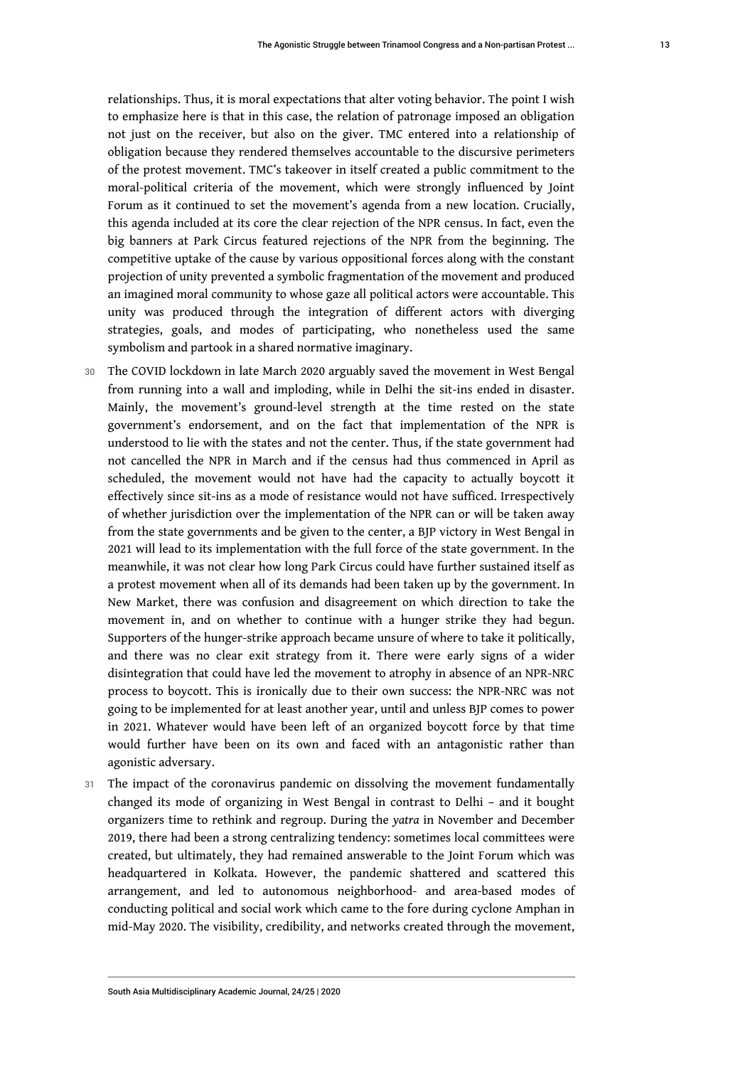relationships. Thus, it is moral expectations that alter voting behavior. The point I wish to emphasize here is that in this case, the relation of patronage imposed an obligation not just on the receiver, but also on the giver. TMC entered into a relationship of obligation because they rendered themselves accountable to the discursive perimeters of the protest movement. TMC's takeover in itself created a public commitment to the moral-political criteria of the movement, which were strongly influenced by Joint Forum as it continued to set the movement's agenda from a new location. Crucially, this agenda included at its core the clear rejection of the NPR census. In fact, even the big banners at Park Circus featured rejections of the NPR from the beginning. The competitive uptake of the cause by various oppositional forces along with the constant projection of unity prevented a symbolic fragmentation of the movement and produced an imagined moral community to whose gaze all political actors were accountable. This unity was produced through the integration of different actors with diverging strategies, goals, and modes of participating, who nonetheless used the same symbolism and partook in a shared normative imaginary.

- 30 The COVID lockdown in late March 2020 arguably saved the movement in West Bengal from running into a wall and imploding, while in Delhi the sit-ins ended in disaster. Mainly, the movement's ground-level strength at the time rested on the state government's endorsement, and on the fact that implementation of the NPR is understood to lie with the states and not the center. Thus, if the state government had not cancelled the NPR in March and if the census had thus commenced in April as scheduled, the movement would not have had the capacity to actually boycott it effectively since sit-ins as a mode of resistance would not have sufficed. Irrespectively of whether jurisdiction over the implementation of the NPR can or will be taken away from the state governments and be given to the center, a BJP victory in West Bengal in 2021 will lead to its implementation with the full force of the state government. In the meanwhile, it was not clear how long Park Circus could have further sustained itself as a protest movement when all of its demands had been taken up by the government. In New Market, there was confusion and disagreement on which direction to take the movement in, and on whether to continue with a hunger strike they had begun. Supporters of the hunger-strike approach became unsure of where to take it politically, and there was no clear exit strategy from it. There were early signs of a wider disintegration that could have led the movement to atrophy in absence of an NPR-NRC process to boycott. This is ironically due to their own success: the NPR-NRC was not going to be implemented for at least another year, until and unless BJP comes to power in 2021. Whatever would have been left of an organized boycott force by that time would further have been on its own and faced with an antagonistic rather than agonistic adversary.
- 31 The impact of the coronavirus pandemic on dissolving the movement fundamentally changed its mode of organizing in West Bengal in contrast to Delhi – and it bought organizers time to rethink and regroup. During the *yatra* in November and December 2019, there had been a strong centralizing tendency: sometimes local committees were created, but ultimately, they had remained answerable to the Joint Forum which was headquartered in Kolkata. However, the pandemic shattered and scattered this arrangement, and led to autonomous neighborhood- and area-based modes of conducting political and social work which came to the fore during cyclone Amphan in mid-May 2020. The visibility, credibility, and networks created through the movement,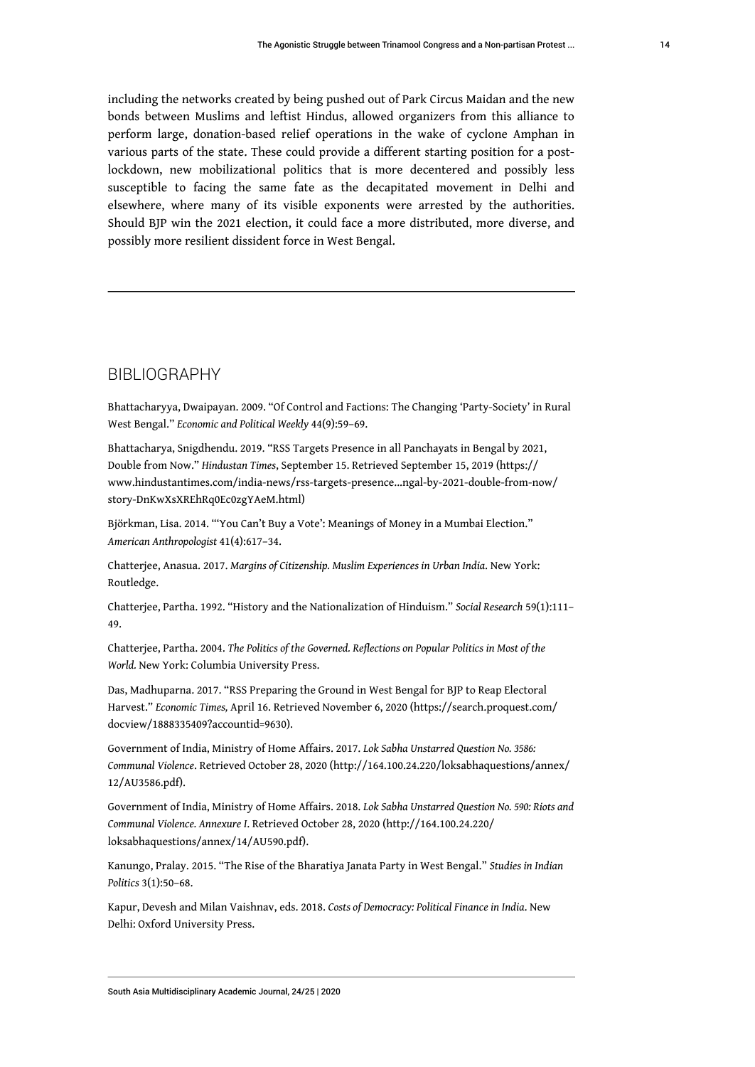including the networks created by being pushed out of Park Circus Maidan and the new bonds between Muslims and leftist Hindus, allowed organizers from this alliance to perform large, donation-based relief operations in the wake of cyclone Amphan in various parts of the state. These could provide a different starting position for a postlockdown, new mobilizational politics that is more decentered and possibly less susceptible to facing the same fate as the decapitated movement in Delhi and elsewhere, where many of its visible exponents were arrested by the authorities. Should BJP win the 2021 election, it could face a more distributed, more diverse, and possibly more resilient dissident force in West Bengal.

#### BIBLIOGRAPHY

Bhattacharyya, Dwaipayan. 2009. "Of Control and Factions: The Changing 'Party-Society' in Rural West Bengal." *Economic and Political Weekly* 44(9):59–69.

Bhattacharya, Snigdhendu. 2019. "RSS Targets Presence in all Panchayats in Bengal by 2021, Double from Now." *Hindustan Times*, September 15. Retrieved September 15, 2019 [\(https://](https://www.hindustantimes.com/india-news/rss-targets-presence...ngal-by-2021-double-from-now/story-DnKwXsXREhRq0Ec0zgYAeM.html) [www.hindustantimes.com/india-news/rss-targets-presence...ngal-by-2021-double-from-now/](https://www.hindustantimes.com/india-news/rss-targets-presence...ngal-by-2021-double-from-now/story-DnKwXsXREhRq0Ec0zgYAeM.html) [story-DnKwXsXREhRq0Ec0zgYAeM.html\)](https://www.hindustantimes.com/india-news/rss-targets-presence...ngal-by-2021-double-from-now/story-DnKwXsXREhRq0Ec0zgYAeM.html)

Björkman, Lisa. 2014. "'You Can't Buy a Vote': Meanings of Money in a Mumbai Election." *American Anthropologist* 41(4):617–34.

Chatterjee, Anasua. 2017. *Margins of Citizenship. Muslim Experiences in Urban India*. New York: Routledge.

Chatterjee, Partha. 1992. "History and the Nationalization of Hinduism." *Social Research* 59(1):111– 49.

Chatterjee, Partha. 2004. *The Politics of the Governed. Reflections on Popular Politics in Most of the World.* New York: Columbia University Press.

Das, Madhuparna. 2017. "RSS Preparing the Ground in West Bengal for BJP to Reap Electoral Harvest." *Economic Times,* April 16. Retrieved November 6, 2020 ([https://search.proquest.com/](https://search.proquest.com/docview/1888335409?accountid=9630) [docview/1888335409?accountid=9630\)](https://search.proquest.com/docview/1888335409?accountid=9630).

Government of India, Ministry of Home Affairs. 2017. *Lok Sabha Unstarred Question No. 3586: Communal Violence*. Retrieved October 28, 2020 ([http://164.100.24.220/loksabhaquestions/annex/](http://164.100.24.220/loksabhaquestions/annex/12/AU3586.pdf) [12/AU3586.pdf](http://164.100.24.220/loksabhaquestions/annex/12/AU3586.pdf)).

Government of India, Ministry of Home Affairs. 2018. *Lok Sabha Unstarred Question No. 590: Riots and Communal Violence. Annexure I*. Retrieved October 28, 2020 ([http://164.100.24.220/](http://164.100.24.220/loksabhaquestions/annex/14/AU590.pdf) [loksabhaquestions/annex/14/AU590.pdf\)](http://164.100.24.220/loksabhaquestions/annex/14/AU590.pdf).

Kanungo, Pralay. 2015. "The Rise of the Bharatiya Janata Party in West Bengal." *Studies in Indian Politics* 3(1):50–68.

Kapur, Devesh and Milan Vaishnav, eds. 2018. *Costs of Democracy: Political Finance in India*. New Delhi: Oxford University Press.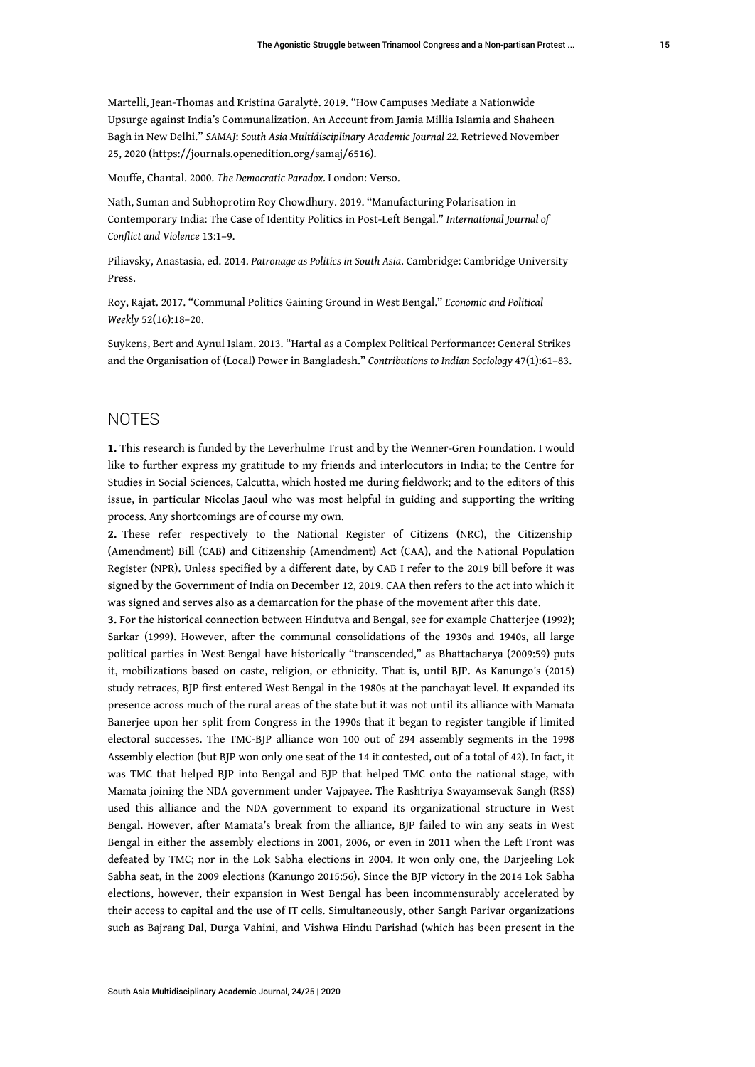Martelli, Jean-Thomas and Kristina Garalytė. 2019. "How Campuses Mediate a Nationwide Upsurge against India's Communalization. An Account from Jamia Millia Islamia and Shaheen Bagh in New Delhi." *SAMAJ*: *South Asia Multidisciplinary Academic Journal 22.* Retrieved November 25, 2020 [\(https://journals.openedition.org/samaj/6516\)](https://journals.openedition.org/samaj/6516).

Mouffe, Chantal. 2000. *The Democratic Paradox.* London: Verso.

Nath, Suman and Subhoprotim Roy Chowdhury. 2019. "Manufacturing Polarisation in Contemporary India: The Case of Identity Politics in Post-Left Bengal." *International Journal of Conflict and Violence* 13:1–9.

Piliavsky, Anastasia, ed. 2014. *Patronage as Politics in South Asia*. Cambridge: Cambridge University Press.

Roy, Rajat. 2017. "Communal Politics Gaining Ground in West Bengal." *Economic and Political Weekly* 52(16):18–20.

Suykens, Bert and Aynul Islam. 2013. "Hartal as a Complex Political Performance: General Strikes and the Organisation of (Local) Power in Bangladesh." *Contributions to Indian Sociology* 47(1):61–83.

#### **NOTES**

<span id="page-15-0"></span>**[1.](#page-1-0)** This research is funded by the Leverhulme Trust and by the Wenner-Gren Foundation. I would like to further express my gratitude to my friends and interlocutors in India; to the Centre for Studies in Social Sciences, Calcutta, which hosted me during fieldwork; and to the editors of this issue, in particular Nicolas Jaoul who was most helpful in guiding and supporting the writing process. Any shortcomings are of course my own.

<span id="page-15-1"></span>**[2.](#page-1-1)** These refer respectively to the National Register of Citizens (NRC), the Citizenship (Amendment) Bill (CAB) and Citizenship (Amendment) Act (CAA), and the National Population Register (NPR). Unless specified by a different date, by CAB I refer to the 2019 bill before it was signed by the Government of India on December 12, 2019. CAA then refers to the act into which it was signed and serves also as a demarcation for the phase of the movement after this date.

<span id="page-15-2"></span>**[3.](#page-2-0)** For the historical connection between Hindutva and Bengal, see for example Chatterjee (1992); Sarkar (1999). However, after the communal consolidations of the 1930s and 1940s, all large political parties in West Bengal have historically "transcended," as Bhattacharya (2009:59) puts it, mobilizations based on caste, religion, or ethnicity. That is, until BJP. As Kanungo's (2015) study retraces, BJP first entered West Bengal in the 1980s at the panchayat level. It expanded its presence across much of the rural areas of the state but it was not until its alliance with Mamata Banerjee upon her split from Congress in the 1990s that it began to register tangible if limited electoral successes. The TMC-BJP alliance won 100 out of 294 assembly segments in the 1998 Assembly election (but BJP won only one seat of the 14 it contested, out of a total of 42). In fact, it was TMC that helped BJP into Bengal and BJP that helped TMC onto the national stage, with Mamata joining the NDA government under Vajpayee. The Rashtriya Swayamsevak Sangh (RSS) used this alliance and the NDA government to expand its organizational structure in West Bengal. However, after Mamata's break from the alliance, BJP failed to win any seats in West Bengal in either the assembly elections in 2001, 2006, or even in 2011 when the Left Front was defeated by TMC; nor in the Lok Sabha elections in 2004. It won only one, the Darjeeling Lok Sabha seat, in the 2009 elections (Kanungo 2015:56). Since the BJP victory in the 2014 Lok Sabha elections, however, their expansion in West Bengal has been incommensurably accelerated by their access to capital and the use of IT cells. Simultaneously, other Sangh Parivar organizations such as Bajrang Dal, Durga Vahini, and Vishwa Hindu Parishad (which has been present in the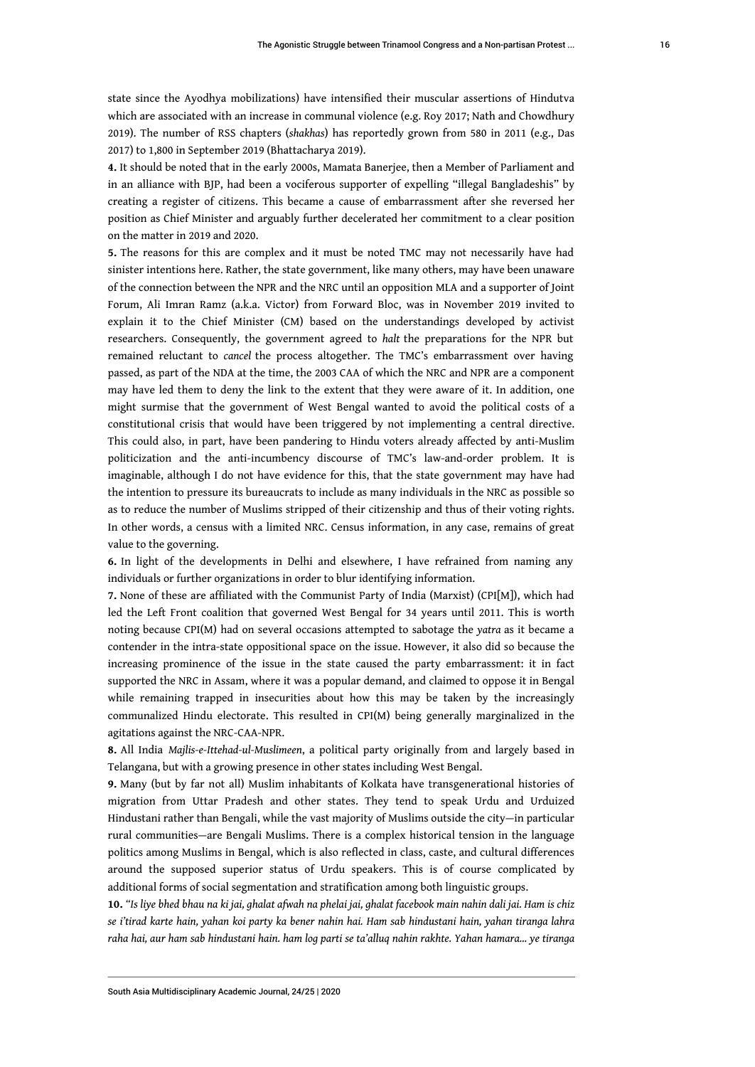state since the Ayodhya mobilizations) have intensified their muscular assertions of Hindutva which are associated with an increase in communal violence (e.g. Roy 2017; Nath and Chowdhury 2019). The number of RSS chapters (*shakhas*) has reportedly grown from 580 in 2011 (e.g., Das 2017) to 1,800 in September 2019 (Bhattacharya 2019).

<span id="page-16-0"></span>**[4.](#page-3-0)** It should be noted that in the early 2000s, Mamata Banerjee, then a Member of Parliament and in an alliance with BJP, had been a vociferous supporter of expelling "illegal Bangladeshis" by creating a register of citizens. This became a cause of embarrassment after she reversed her position as Chief Minister and arguably further decelerated her commitment to a clear position on the matter in 2019 and 2020.

<span id="page-16-1"></span>**[5.](#page-3-1)** The reasons for this are complex and it must be noted TMC may not necessarily have had sinister intentions here. Rather, the state government, like many others, may have been unaware of the connection between the NPR and the NRC until an opposition MLA and a supporter of Joint Forum, Ali Imran Ramz (a.k.a. Victor) from Forward Bloc, was in November 2019 invited to explain it to the Chief Minister (CM) based on the understandings developed by activist researchers. Consequently, the government agreed to *halt* the preparations for the NPR but remained reluctant to *cancel* the process altogether. The TMC's embarrassment over having passed, as part of the NDA at the time, the 2003 CAA of which the NRC and NPR are a component may have led them to deny the link to the extent that they were aware of it. In addition, one might surmise that the government of West Bengal wanted to avoid the political costs of a constitutional crisis that would have been triggered by not implementing a central directive. This could also, in part, have been pandering to Hindu voters already affected by anti-Muslim politicization and the anti-incumbency discourse of TMC's law-and-order problem. It is imaginable, although I do not have evidence for this, that the state government may have had the intention to pressure its bureaucrats to include as many individuals in the NRC as possible so as to reduce the number of Muslims stripped of their citizenship and thus of their voting rights. In other words, a census with a limited NRC. Census information, in any case, remains of great value to the governing.

<span id="page-16-2"></span>**[6.](#page-3-2)** In light of the developments in Delhi and elsewhere, I have refrained from naming any individuals or further organizations in order to blur identifying information.

<span id="page-16-3"></span>**[7.](#page-4-0)** None of these are affiliated with the Communist Party of India (Marxist) (CPI[M]), which had led the Left Front coalition that governed West Bengal for 34 years until 2011. This is worth noting because CPI(M) had on several occasions attempted to sabotage the *yatra* as it became a contender in the intra-state oppositional space on the issue. However, it also did so because the increasing prominence of the issue in the state caused the party embarrassment: it in fact supported the NRC in Assam, where it was a popular demand, and claimed to oppose it in Bengal while remaining trapped in insecurities about how this may be taken by the increasingly communalized Hindu electorate. This resulted in CPI(M) being generally marginalized in the agitations against the NRC-CAA-NPR.

<span id="page-16-4"></span>**[8.](#page-6-0)** All India *Majlis-e-Ittehad-ul-Muslimeen*, a political party originally from and largely based in Telangana, but with a growing presence in other states including West Bengal.

<span id="page-16-5"></span>**[9.](#page-7-0)** Many (but by far not all) Muslim inhabitants of Kolkata have transgenerational histories of migration from Uttar Pradesh and other states. They tend to speak Urdu and Urduized Hindustani rather than Bengali, while the vast majority of Muslims outside the city—in particular rural communities—are Bengali Muslims. There is a complex historical tension in the language politics among Muslims in Bengal, which is also reflected in class, caste, and cultural differences around the supposed superior status of Urdu speakers. This is of course complicated by additional forms of social segmentation and stratification among both linguistic groups.

<span id="page-16-6"></span>**[10.](#page-9-0)** *"Is liye bhed bhau na ki jai, ghalat afwah na phelai jai, ghalat facebook main nahin dali jai. Ham is chiz se i'tirad karte hain, yahan koi party ka bener nahin hai. Ham sab hindustani hain, yahan tiranga lahra raha hai, aur ham sab hindustani hain. ham log parti se ta'alluq nahin rakhte. Yahan hamara… ye tiranga*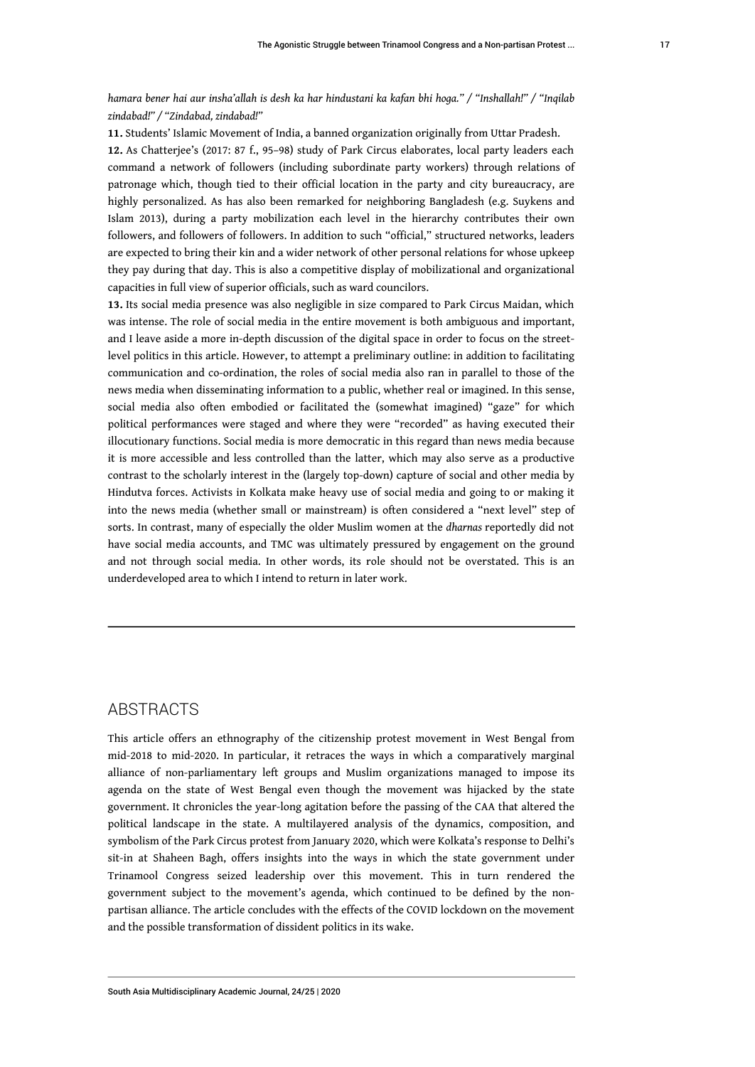*hamara bener hai aur insha'allah is desh ka har hindustani ka kafan bhi hoga." / "Inshallah!" / "Inqilab zindabad!" / "Zindabad, zindabad!"*

<span id="page-17-1"></span><span id="page-17-0"></span>**[11.](#page-10-0)** Students' Islamic Movement of India, a banned organization originally from Uttar Pradesh. **[12.](#page-11-0)** As Chatterjee's (2017: 87 f., 95–98) study of Park Circus elaborates, local party leaders each command a network of followers (including subordinate party workers) through relations of patronage which, though tied to their official location in the party and city bureaucracy, are highly personalized. As has also been remarked for neighboring Bangladesh (e.g. Suykens and Islam 2013), during a party mobilization each level in the hierarchy contributes their own followers, and followers of followers. In addition to such "official," structured networks, leaders are expected to bring their kin and a wider network of other personal relations for whose upkeep they pay during that day. This is also a competitive display of mobilizational and organizational capacities in full view of superior officials, such as ward councilors.

<span id="page-17-2"></span>**[13.](#page-12-0)** Its social media presence was also negligible in size compared to Park Circus Maidan, which was intense. The role of social media in the entire movement is both ambiguous and important, and I leave aside a more in-depth discussion of the digital space in order to focus on the streetlevel politics in this article. However, to attempt a preliminary outline: in addition to facilitating communication and co-ordination, the roles of social media also ran in parallel to those of the news media when disseminating information to a public, whether real or imagined. In this sense, social media also often embodied or facilitated the (somewhat imagined) "gaze" for which political performances were staged and where they were "recorded" as having executed their illocutionary functions. Social media is more democratic in this regard than news media because it is more accessible and less controlled than the latter, which may also serve as a productive contrast to the scholarly interest in the (largely top-down) capture of social and other media by Hindutva forces. Activists in Kolkata make heavy use of social media and going to or making it into the news media (whether small or mainstream) is often considered a "next level" step of sorts. In contrast, many of especially the older Muslim women at the *dharnas* reportedly did not have social media accounts, and TMC was ultimately pressured by engagement on the ground and not through social media. In other words, its role should not be overstated. This is an underdeveloped area to which I intend to return in later work.

#### ABSTRACTS

This article offers an ethnography of the citizenship protest movement in West Bengal from mid-2018 to mid-2020. In particular, it retraces the ways in which a comparatively marginal alliance of non-parliamentary left groups and Muslim organizations managed to impose its agenda on the state of West Bengal even though the movement was hijacked by the state government. It chronicles the year-long agitation before the passing of the CAA that altered the political landscape in the state. A multilayered analysis of the dynamics, composition, and symbolism of the Park Circus protest from January 2020, which were Kolkata's response to Delhi's sit-in at Shaheen Bagh, offers insights into the ways in which the state government under Trinamool Congress seized leadership over this movement. This in turn rendered the government subject to the movement's agenda, which continued to be defined by the nonpartisan alliance. The article concludes with the effects of the COVID lockdown on the movement and the possible transformation of dissident politics in its wake.